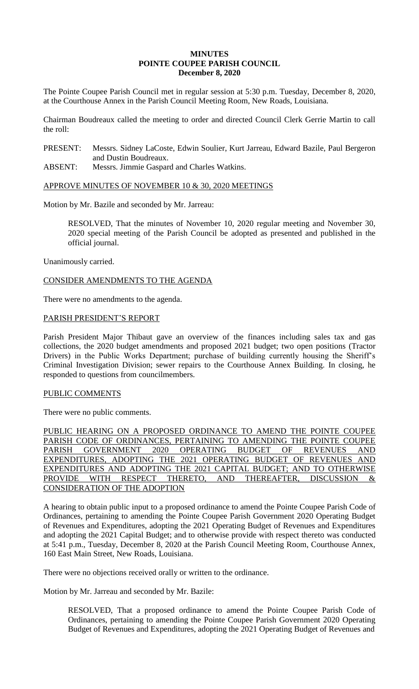# **MINUTES POINTE COUPEE PARISH COUNCIL December 8, 2020**

The Pointe Coupee Parish Council met in regular session at 5:30 p.m. Tuesday, December 8, 2020, at the Courthouse Annex in the Parish Council Meeting Room, New Roads, Louisiana.

Chairman Boudreaux called the meeting to order and directed Council Clerk Gerrie Martin to call the roll:

PRESENT: Messrs. Sidney LaCoste, Edwin Soulier, Kurt Jarreau, Edward Bazile, Paul Bergeron and Dustin Boudreaux.

ABSENT: Messrs. Jimmie Gaspard and Charles Watkins.

#### APPROVE MINUTES OF NOVEMBER 10 & 30, 2020 MEETINGS

Motion by Mr. Bazile and seconded by Mr. Jarreau:

RESOLVED, That the minutes of November 10, 2020 regular meeting and November 30, 2020 special meeting of the Parish Council be adopted as presented and published in the official journal.

Unanimously carried.

## CONSIDER AMENDMENTS TO THE AGENDA

There were no amendments to the agenda.

#### PARISH PRESIDENT'S REPORT

Parish President Major Thibaut gave an overview of the finances including sales tax and gas collections, the 2020 budget amendments and proposed 2021 budget; two open positions (Tractor Drivers) in the Public Works Department; purchase of building currently housing the Sheriff's Criminal Investigation Division; sewer repairs to the Courthouse Annex Building. In closing, he responded to questions from councilmembers.

## PUBLIC COMMENTS

There were no public comments.

PUBLIC HEARING ON A PROPOSED ORDINANCE TO AMEND THE POINTE COUPEE PARISH CODE OF ORDINANCES, PERTAINING TO AMENDING THE POINTE COUPEE PARISH GOVERNMENT 2020 OPERATING BUDGET OF REVENUES AND EXPENDITURES, ADOPTING THE 2021 OPERATING BUDGET OF REVENUES AND EXPENDITURES AND ADOPTING THE 2021 CAPITAL BUDGET; AND TO OTHERWISE PROVIDE WITH RESPECT THERETO, AND THEREAFTER, DISCUSSION & CONSIDERATION OF THE ADOPTION

A hearing to obtain public input to a proposed ordinance to amend the Pointe Coupee Parish Code of Ordinances, pertaining to amending the Pointe Coupee Parish Government 2020 Operating Budget of Revenues and Expenditures, adopting the 2021 Operating Budget of Revenues and Expenditures and adopting the 2021 Capital Budget; and to otherwise provide with respect thereto was conducted at 5:41 p.m., Tuesday, December 8, 2020 at the Parish Council Meeting Room, Courthouse Annex, 160 East Main Street, New Roads, Louisiana.

There were no objections received orally or written to the ordinance.

Motion by Mr. Jarreau and seconded by Mr. Bazile:

RESOLVED, That a proposed ordinance to amend the Pointe Coupee Parish Code of Ordinances, pertaining to amending the Pointe Coupee Parish Government 2020 Operating Budget of Revenues and Expenditures, adopting the 2021 Operating Budget of Revenues and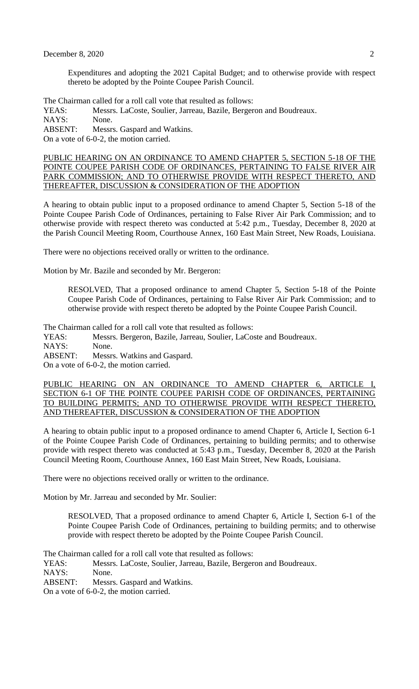Expenditures and adopting the 2021 Capital Budget; and to otherwise provide with respect thereto be adopted by the Pointe Coupee Parish Council.

The Chairman called for a roll call vote that resulted as follows:

YEAS: Messrs. LaCoste, Soulier, Jarreau, Bazile, Bergeron and Boudreaux. NAYS: None. ABSENT: Messrs. Gaspard and Watkins.

On a vote of 6-0-2, the motion carried.

PUBLIC HEARING ON AN ORDINANCE TO AMEND CHAPTER 5, SECTION 5-18 OF THE POINTE COUPEE PARISH CODE OF ORDINANCES, PERTAINING TO FALSE RIVER AIR PARK COMMISSION; AND TO OTHERWISE PROVIDE WITH RESPECT THERETO, AND THEREAFTER, DISCUSSION & CONSIDERATION OF THE ADOPTION

A hearing to obtain public input to a proposed ordinance to amend Chapter 5, Section 5-18 of the Pointe Coupee Parish Code of Ordinances, pertaining to False River Air Park Commission; and to otherwise provide with respect thereto was conducted at 5:42 p.m., Tuesday, December 8, 2020 at the Parish Council Meeting Room, Courthouse Annex, 160 East Main Street, New Roads, Louisiana.

There were no objections received orally or written to the ordinance.

Motion by Mr. Bazile and seconded by Mr. Bergeron:

RESOLVED, That a proposed ordinance to amend Chapter 5, Section 5-18 of the Pointe Coupee Parish Code of Ordinances, pertaining to False River Air Park Commission; and to otherwise provide with respect thereto be adopted by the Pointe Coupee Parish Council.

The Chairman called for a roll call vote that resulted as follows:

YEAS: Messrs. Bergeron, Bazile, Jarreau, Soulier, LaCoste and Boudreaux.

NAYS: None.

ABSENT: Messrs. Watkins and Gaspard.

On a vote of 6-0-2, the motion carried.

PUBLIC HEARING ON AN ORDINANCE TO AMEND CHAPTER 6, ARTICLE SECTION 6-1 OF THE POINTE COUPEE PARISH CODE OF ORDINANCES, PERTAINING TO BUILDING PERMITS; AND TO OTHERWISE PROVIDE WITH RESPECT THERETO, AND THEREAFTER, DISCUSSION & CONSIDERATION OF THE ADOPTION

A hearing to obtain public input to a proposed ordinance to amend Chapter 6, Article I, Section 6-1 of the Pointe Coupee Parish Code of Ordinances, pertaining to building permits; and to otherwise provide with respect thereto was conducted at 5:43 p.m., Tuesday, December 8, 2020 at the Parish Council Meeting Room, Courthouse Annex, 160 East Main Street, New Roads, Louisiana.

There were no objections received orally or written to the ordinance.

Motion by Mr. Jarreau and seconded by Mr. Soulier:

RESOLVED, That a proposed ordinance to amend Chapter 6, Article I, Section 6-1 of the Pointe Coupee Parish Code of Ordinances, pertaining to building permits; and to otherwise provide with respect thereto be adopted by the Pointe Coupee Parish Council.

The Chairman called for a roll call vote that resulted as follows:

YEAS: Messrs. LaCoste, Soulier, Jarreau, Bazile, Bergeron and Boudreaux. NAYS: None. ABSENT: Messrs. Gaspard and Watkins.

On a vote of 6-0-2, the motion carried.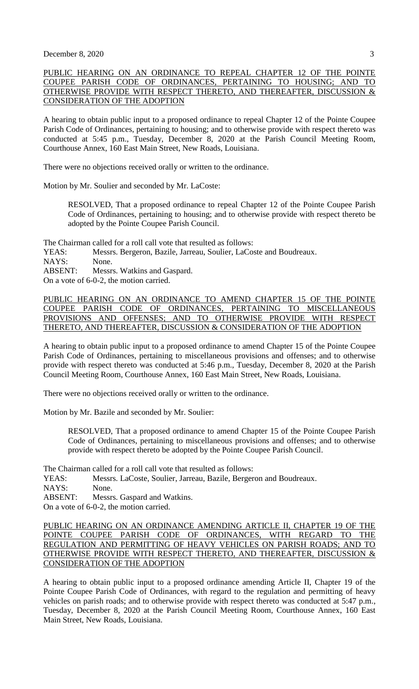# PUBLIC HEARING ON AN ORDINANCE TO REPEAL CHAPTER 12 OF THE POINTE COUPEE PARISH CODE OF ORDINANCES, PERTAINING TO HOUSING; AND TO OTHERWISE PROVIDE WITH RESPECT THERETO, AND THEREAFTER, DISCUSSION & CONSIDERATION OF THE ADOPTION

A hearing to obtain public input to a proposed ordinance to repeal Chapter 12 of the Pointe Coupee Parish Code of Ordinances, pertaining to housing; and to otherwise provide with respect thereto was conducted at 5:45 p.m., Tuesday, December 8, 2020 at the Parish Council Meeting Room, Courthouse Annex, 160 East Main Street, New Roads, Louisiana.

There were no objections received orally or written to the ordinance.

Motion by Mr. Soulier and seconded by Mr. LaCoste:

RESOLVED, That a proposed ordinance to repeal Chapter 12 of the Pointe Coupee Parish Code of Ordinances, pertaining to housing; and to otherwise provide with respect thereto be adopted by the Pointe Coupee Parish Council.

The Chairman called for a roll call vote that resulted as follows:

YEAS: Messrs. Bergeron, Bazile, Jarreau, Soulier, LaCoste and Boudreaux.

NAYS: None.

ABSENT: Messrs. Watkins and Gaspard.

On a vote of 6-0-2, the motion carried.

PUBLIC HEARING ON AN ORDINANCE TO AMEND CHAPTER 15 OF THE POINTE COUPEE PARISH CODE OF ORDINANCES, PERTAINING TO MISCELLANEOUS PROVISIONS AND OFFENSES; AND TO OTHERWISE PROVIDE WITH RESPECT THERETO, AND THEREAFTER, DISCUSSION & CONSIDERATION OF THE ADOPTION

A hearing to obtain public input to a proposed ordinance to amend Chapter 15 of the Pointe Coupee Parish Code of Ordinances, pertaining to miscellaneous provisions and offenses; and to otherwise provide with respect thereto was conducted at 5:46 p.m., Tuesday, December 8, 2020 at the Parish Council Meeting Room, Courthouse Annex, 160 East Main Street, New Roads, Louisiana.

There were no objections received orally or written to the ordinance.

Motion by Mr. Bazile and seconded by Mr. Soulier:

RESOLVED, That a proposed ordinance to amend Chapter 15 of the Pointe Coupee Parish Code of Ordinances, pertaining to miscellaneous provisions and offenses; and to otherwise provide with respect thereto be adopted by the Pointe Coupee Parish Council.

The Chairman called for a roll call vote that resulted as follows:

YEAS: Messrs. LaCoste, Soulier, Jarreau, Bazile, Bergeron and Boudreaux.

NAYS: None.

ABSENT: Messrs. Gaspard and Watkins.

On a vote of 6-0-2, the motion carried.

PUBLIC HEARING ON AN ORDINANCE AMENDING ARTICLE II, CHAPTER 19 OF THE POINTE COUPEE PARISH CODE OF ORDINANCES, WITH REGARD TO THE REGULATION AND PERMITTING OF HEAVY VEHICLES ON PARISH ROADS; AND TO OTHERWISE PROVIDE WITH RESPECT THERETO, AND THEREAFTER, DISCUSSION & CONSIDERATION OF THE ADOPTION

A hearing to obtain public input to a proposed ordinance amending Article II, Chapter 19 of the Pointe Coupee Parish Code of Ordinances, with regard to the regulation and permitting of heavy vehicles on parish roads; and to otherwise provide with respect thereto was conducted at 5:47 p.m., Tuesday, December 8, 2020 at the Parish Council Meeting Room, Courthouse Annex, 160 East Main Street, New Roads, Louisiana.